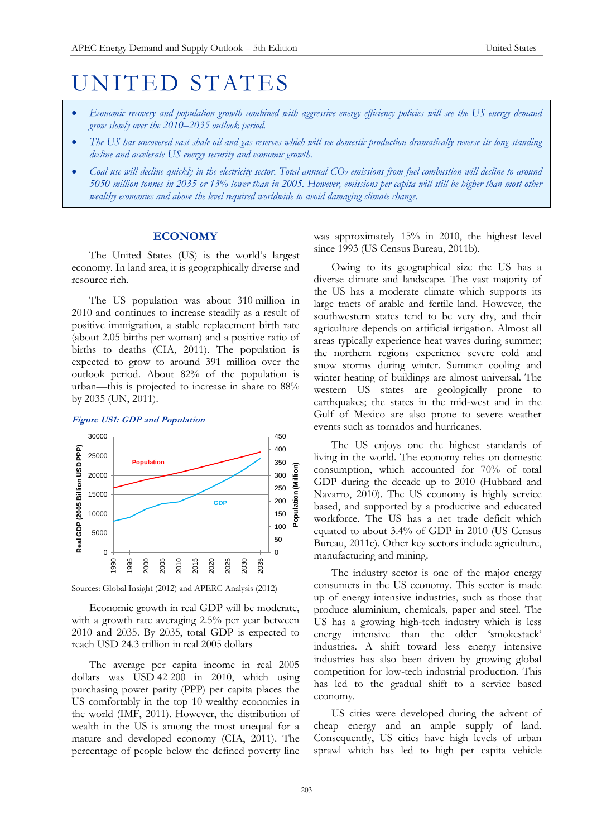# UNITED STATES

- *Economic recovery and population growth combined with aggressive energy efficiency policies will see the US energy demand grow slowly over the 2010–2035 outlook period.*
- *The US has uncovered vast shale oil and gas reserves which will see domestic production dramatically reverse its long standing decline and accelerate US energy security and economic growth.*
- *Coal use will decline quickly in the electricity sector. Total annual CO<sup>2</sup> emissions from fuel combustion will decline to around 5050 million tonnes in 2035 or 13% lower than in 2005. However, emissions per capita will still be higher than most other wealthy economies and above the level required worldwide to avoid damaging climate change.*

# **ECONOMY**

The United States (US) is the world's largest economy. In land area, it is geographically diverse and resource rich.

The US population was about 310 million in 2010 and continues to increase steadily as a result of positive immigration, a stable replacement birth rate (about 2.05 births per woman) and a positive ratio of births to deaths (CIA, 2011). The population is expected to grow to around 391 million over the outlook period. About 82% of the population is urban—this is projected to increase in share to 88% by 2035 (UN, 2011).

## **Figure US1: GDP and Population**



Sources: Global Insight (2012) and APERC Analysis (2012)

Economic growth in real GDP will be moderate, with a growth rate averaging 2.5% per year between 2010 and 2035. By 2035, total GDP is expected to reach USD 24.3 trillion in real 2005 dollars

The average per capita income in real 2005 dollars was USD 42 200 in 2010, which using purchasing power parity (PPP) per capita places the US comfortably in the top 10 wealthy economies in the world (IMF, 2011). However, the distribution of wealth in the US is among the most unequal for a mature and developed economy (CIA, 2011). The percentage of people below the defined poverty line

was approximately 15% in 2010, the highest level since 1993 (US Census Bureau, 2011b).

Owing to its geographical size the US has a diverse climate and landscape. The vast majority of the US has a moderate climate which supports its large tracts of arable and fertile land. However, the southwestern states tend to be very dry, and their agriculture depends on artificial irrigation. Almost all areas typically experience heat waves during summer; the northern regions experience severe cold and snow storms during winter. Summer cooling and winter heating of buildings are almost universal. The western US states are geologically prone to earthquakes; the states in the mid-west and in the Gulf of Mexico are also prone to severe weather events such as tornados and hurricanes.

The US enjoys one the highest standards of living in the world. The economy relies on domestic consumption, which accounted for 70% of total GDP during the decade up to 2010 (Hubbard and Navarro, 2010). The US economy is highly service based, and supported by a productive and educated workforce. The US has a net trade deficit which equated to about 3.4% of GDP in 2010 (US Census Bureau, 2011c). Other key sectors include agriculture, manufacturing and mining.

The industry sector is one of the major energy consumers in the US economy. This sector is made up of energy intensive industries, such as those that produce aluminium, chemicals, paper and steel. The US has a growing high-tech industry which is less energy intensive than the older 'smokestack' industries. A shift toward less energy intensive industries has also been driven by growing global competition for low-tech industrial production. This has led to the gradual shift to a service based economy.

US cities were developed during the advent of cheap energy and an ample supply of land. Consequently, US cities have high levels of urban sprawl which has led to high per capita vehicle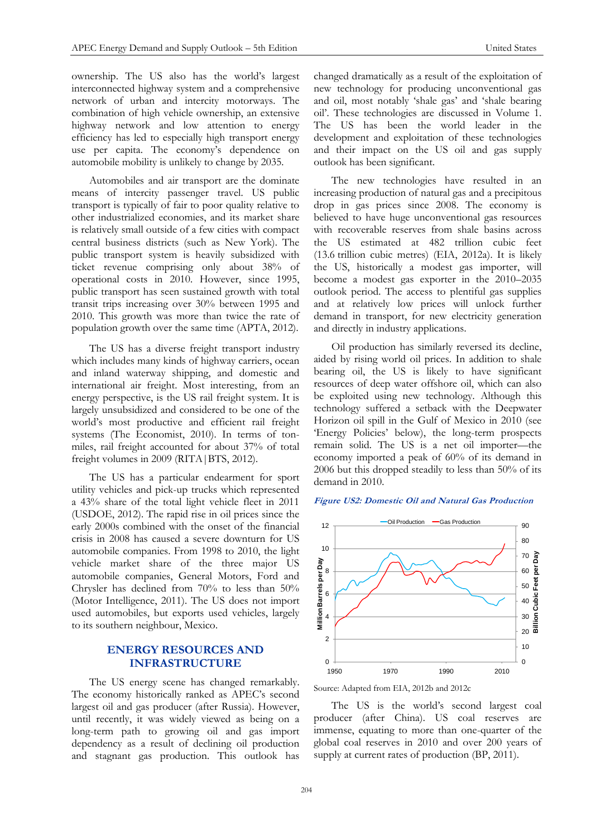ownership. The US also has the world's largest interconnected highway system and a comprehensive network of urban and intercity motorways. The combination of high vehicle ownership, an extensive highway network and low attention to energy efficiency has led to especially high transport energy use per capita. The economy's dependence on automobile mobility is unlikely to change by 2035.

Automobiles and air transport are the dominate means of intercity passenger travel. US public transport is typically of fair to poor quality relative to other industrialized economies, and its market share is relatively small outside of a few cities with compact central business districts (such as New York). The public transport system is heavily subsidized with ticket revenue comprising only about 38% of operational costs in 2010. However, since 1995, public transport has seen sustained growth with total transit trips increasing over 30% between 1995 and 2010. This growth was more than twice the rate of population growth over the same time (APTA, 2012).

The US has a diverse freight transport industry which includes many kinds of highway carriers, ocean and inland waterway shipping, and domestic and international air freight. Most interesting, from an energy perspective, is the US rail freight system. It is largely unsubsidized and considered to be one of the world's most productive and efficient rail freight systems (The Economist, 2010). In terms of tonmiles, rail freight accounted for about 37% of total freight volumes in 2009 (RITA|BTS, 2012).

The US has a particular endearment for sport utility vehicles and pick-up trucks which represented a 43% share of the total light vehicle fleet in 2011 (USDOE, 2012). The rapid rise in oil prices since the early 2000s combined with the onset of the financial crisis in 2008 has caused a severe downturn for US automobile companies. From 1998 to 2010, the light vehicle market share of the three major US automobile companies, General Motors, Ford and Chrysler has declined from 70% to less than 50% (Motor Intelligence, 2011). The US does not import used automobiles, but exports used vehicles, largely to its southern neighbour, Mexico.

# **ENERGY RESOURCES AND INFRASTRUCTURE**

The US energy scene has changed remarkably. The economy historically ranked as APEC's second largest oil and gas producer (after Russia). However, until recently, it was widely viewed as being on a long-term path to growing oil and gas import dependency as a result of declining oil production and stagnant gas production. This outlook has

changed dramatically as a result of the exploitation of new technology for producing unconventional gas and oil, most notably 'shale gas' and 'shale bearing oil'. These technologies are discussed in Volume 1. The US has been the world leader in the development and exploitation of these technologies and their impact on the US oil and gas supply outlook has been significant.

The new technologies have resulted in an increasing production of natural gas and a precipitous drop in gas prices since 2008. The economy is believed to have huge unconventional gas resources with recoverable reserves from shale basins across the US estimated at 482 trillion cubic feet (13.6 trillion cubic metres) (EIA, 2012a). It is likely the US, historically a modest gas importer, will become a modest gas exporter in the 2010–2035 outlook period. The access to plentiful gas supplies and at relatively low prices will unlock further demand in transport, for new electricity generation and directly in industry applications.

Oil production has similarly reversed its decline, aided by rising world oil prices. In addition to shale bearing oil, the US is likely to have significant resources of deep water offshore oil, which can also be exploited using new technology. Although this technology suffered a setback with the Deepwater Horizon oil spill in the Gulf of Mexico in 2010 (see 'Energy Policies' below), the long-term prospects remain solid. The US is a net oil importer—the economy imported a peak of 60% of its demand in 2006 but this dropped steadily to less than 50% of its demand in 2010.

#### **Figure US2: Domestic Oil and Natural Gas Production**



Source: Adapted from EIA, 2012b and 2012c

The US is the world's second largest coal producer (after China). US coal reserves are immense, equating to more than one-quarter of the global coal reserves in 2010 and over 200 years of supply at current rates of production (BP, 2011).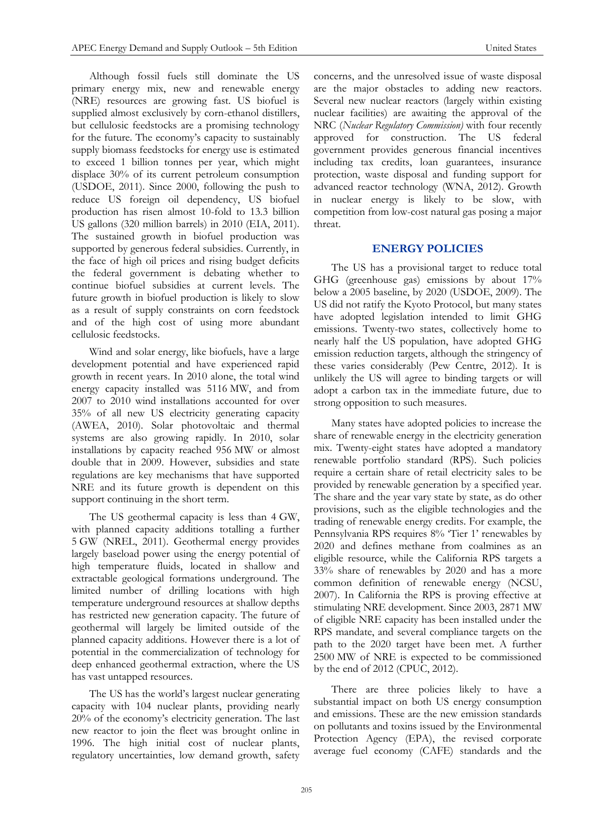Although fossil fuels still dominate the US primary energy mix, new and renewable energy (NRE) resources are growing fast. US biofuel is supplied almost exclusively by corn-ethanol distillers, but cellulosic feedstocks are a promising technology for the future. The economy's capacity to sustainably supply biomass feedstocks for energy use is estimated to exceed 1 billion tonnes per year, which might displace 30% of its current petroleum consumption (USDOE, 2011). Since 2000, following the push to reduce US foreign oil dependency, US biofuel production has risen almost 10-fold to 13.3 billion US gallons (320 million barrels) in 2010 (EIA, 2011). The sustained growth in biofuel production was supported by generous federal subsidies. Currently, in the face of high oil prices and rising budget deficits the federal government is debating whether to continue biofuel subsidies at current levels. The future growth in biofuel production is likely to slow as a result of supply constraints on corn feedstock and of the high cost of using more abundant cellulosic feedstocks.

Wind and solar energy, like biofuels, have a large development potential and have experienced rapid growth in recent years. In 2010 alone, the total wind energy capacity installed was 5116 MW, and from 2007 to 2010 wind installations accounted for over 35% of all new US electricity generating capacity (AWEA, 2010). Solar photovoltaic and thermal systems are also growing rapidly. In 2010, solar installations by capacity reached 956 MW or almost double that in 2009. However, subsidies and state regulations are key mechanisms that have supported NRE and its future growth is dependent on this support continuing in the short term.

The US geothermal capacity is less than 4 GW, with planned capacity additions totalling a further 5 GW (NREL, 2011). Geothermal energy provides largely baseload power using the energy potential of high temperature fluids, located in shallow and extractable geological formations underground. The limited number of drilling locations with high temperature underground resources at shallow depths has restricted new generation capacity. The future of geothermal will largely be limited outside of the planned capacity additions. However there is a lot of potential in the commercialization of technology for deep enhanced geothermal extraction, where the US has vast untapped resources.

The US has the world's largest nuclear generating capacity with 104 nuclear plants, providing nearly 20% of the economy's electricity generation. The last new reactor to join the fleet was brought online in 1996. The high initial cost of nuclear plants, regulatory uncertainties, low demand growth, safety

concerns, and the unresolved issue of waste disposal are the major obstacles to adding new reactors. Several new nuclear reactors (largely within existing nuclear facilities) are awaiting the approval of the NRC (*Nuclear Regulatory Commission)* with four recently approved for construction. The US federal government provides generous financial incentives including tax credits, loan guarantees, insurance protection, waste disposal and funding support for advanced reactor technology (WNA, 2012). Growth in nuclear energy is likely to be slow, with competition from low-cost natural gas posing a major threat.

# **ENERGY POLICIES**

The US has a provisional target to reduce total GHG (greenhouse gas) emissions by about 17% below a 2005 baseline, by 2020 (USDOE, 2009). The US did not ratify the Kyoto Protocol, but many states have adopted legislation intended to limit GHG emissions. Twenty-two states, collectively home to nearly half the US population, have adopted GHG emission reduction targets, although the stringency of these varies considerably (Pew Centre, 2012). It is unlikely the US will agree to binding targets or will adopt a carbon tax in the immediate future, due to strong opposition to such measures.

Many states have adopted policies to increase the share of renewable energy in the electricity generation mix. Twenty-eight states have adopted a mandatory renewable portfolio standard (RPS). Such policies require a certain share of retail electricity sales to be provided by renewable generation by a specified year. The share and the year vary state by state, as do other provisions, such as the eligible technologies and the trading of renewable energy credits. For example, the Pennsylvania RPS requires 8% 'Tier 1' renewables by 2020 and defines methane from coalmines as an eligible resource, while the California RPS targets a 33% share of renewables by 2020 and has a more common definition of renewable energy (NCSU, 2007). In California the RPS is proving effective at stimulating NRE development. Since 2003, 2871 MW of eligible NRE capacity has been installed under the RPS mandate, and several compliance targets on the path to the 2020 target have been met. A further 2500 MW of NRE is expected to be commissioned by the end of 2012 (CPUC, 2012).

There are three policies likely to have a substantial impact on both US energy consumption and emissions. These are the new emission standards on pollutants and toxins issued by the Environmental Protection Agency (EPA), the revised corporate average fuel economy (CAFE) standards and the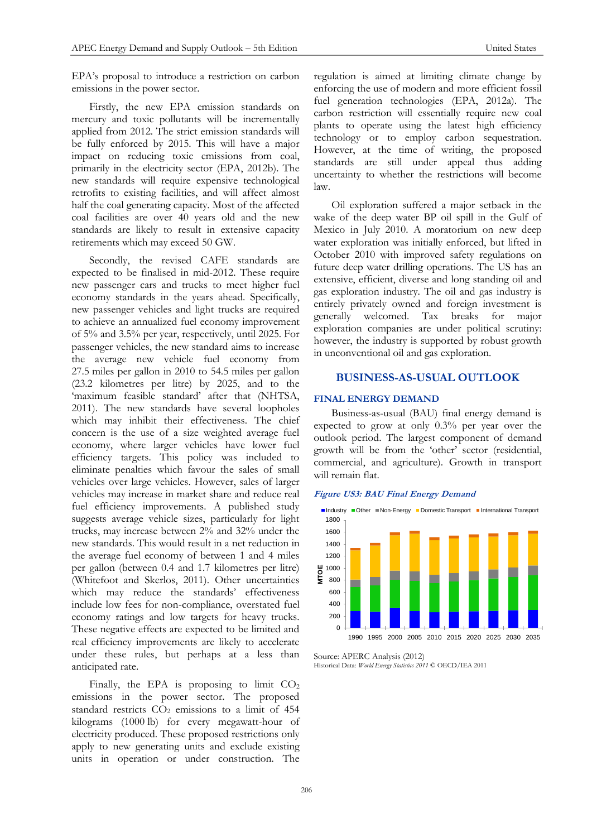EPA's proposal to introduce a restriction on carbon emissions in the power sector.

Firstly, the new EPA emission standards on mercury and toxic pollutants will be incrementally applied from 2012. The strict emission standards will be fully enforced by 2015. This will have a major impact on reducing toxic emissions from coal, primarily in the electricity sector (EPA, 2012b). The new standards will require expensive technological retrofits to existing facilities, and will affect almost half the coal generating capacity. Most of the affected coal facilities are over 40 years old and the new standards are likely to result in extensive capacity retirements which may exceed 50 GW.

Secondly, the revised CAFE standards are expected to be finalised in mid-2012. These require new passenger cars and trucks to meet higher fuel economy standards in the years ahead. Specifically, new passenger vehicles and light trucks are required to achieve an annualized fuel economy improvement of 5% and 3.5% per year, respectively, until 2025. For passenger vehicles, the new standard aims to increase the average new vehicle fuel economy from 27.5 miles per gallon in 2010 to 54.5 miles per gallon (23.2 kilometres per litre) by 2025, and to the 'maximum feasible standard' after that (NHTSA, 2011). The new standards have several loopholes which may inhibit their effectiveness. The chief concern is the use of a size weighted average fuel economy, where larger vehicles have lower fuel efficiency targets. This policy was included to eliminate penalties which favour the sales of small vehicles over large vehicles. However, sales of larger vehicles may increase in market share and reduce real fuel efficiency improvements. A published study suggests average vehicle sizes, particularly for light trucks, may increase between 2% and 32% under the new standards. This would result in a net reduction in the average fuel economy of between 1 and 4 miles per gallon (between 0.4 and 1.7 kilometres per litre) (Whitefoot and Skerlos, 2011). Other uncertainties which may reduce the standards' effectiveness include low fees for non-compliance, overstated fuel economy ratings and low targets for heavy trucks. These negative effects are expected to be limited and real efficiency improvements are likely to accelerate under these rules, but perhaps at a less than anticipated rate.

Finally, the EPA is proposing to limit  $CO<sub>2</sub>$ emissions in the power sector. The proposed standard restricts  $CO<sub>2</sub>$  emissions to a limit of 454 kilograms (1000 lb) for every megawatt-hour of electricity produced. These proposed restrictions only apply to new generating units and exclude existing units in operation or under construction. The regulation is aimed at limiting climate change by enforcing the use of modern and more efficient fossil fuel generation technologies (EPA, 2012a). The carbon restriction will essentially require new coal plants to operate using the latest high efficiency technology or to employ carbon sequestration. However, at the time of writing, the proposed standards are still under appeal thus adding uncertainty to whether the restrictions will become law.

Oil exploration suffered a major setback in the wake of the deep water BP oil spill in the Gulf of Mexico in July 2010. A moratorium on new deep water exploration was initially enforced, but lifted in October 2010 with improved safety regulations on future deep water drilling operations. The US has an extensive, efficient, diverse and long standing oil and gas exploration industry. The oil and gas industry is entirely privately owned and foreign investment is generally welcomed. Tax breaks for major exploration companies are under political scrutiny: however, the industry is supported by robust growth in unconventional oil and gas exploration.

# **BUSINESS-AS-USUAL OUTLOOK**

## **FINAL ENERGY DEMAND**

Business-as-usual (BAU) final energy demand is expected to grow at only 0.3% per year over the outlook period. The largest component of demand growth will be from the 'other' sector (residential, commercial, and agriculture). Growth in transport will remain flat.





Source: APERC Analysis (2012) Historical Data: *World Energy Statistics 2011* © OECD/IEA 2011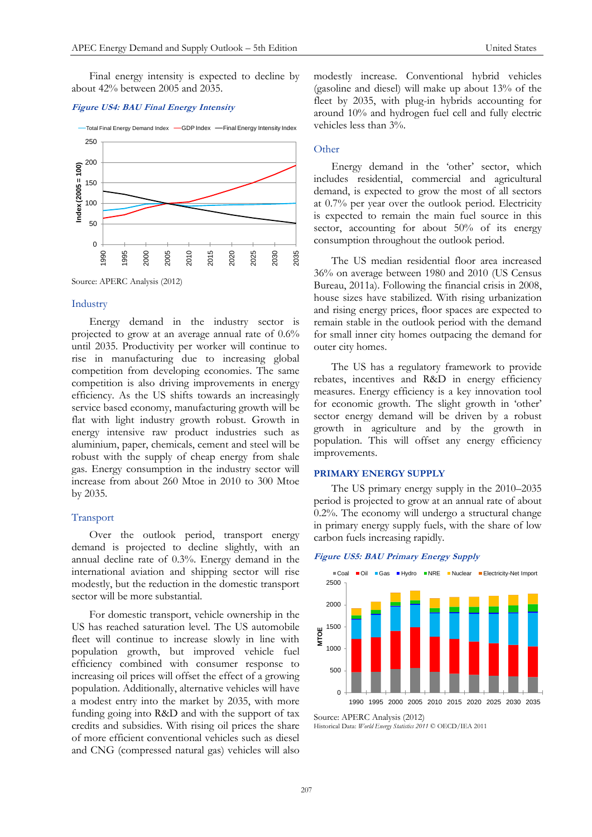Final energy intensity is expected to decline by about 42% between 2005 and 2035.

#### **Figure US4: BAU Final Energy Intensity**





## Industry

Energy demand in the industry sector is projected to grow at an average annual rate of 0.6% until 2035. Productivity per worker will continue to rise in manufacturing due to increasing global competition from developing economies. The same competition is also driving improvements in energy efficiency. As the US shifts towards an increasingly service based economy, manufacturing growth will be flat with light industry growth robust. Growth in energy intensive raw product industries such as aluminium, paper, chemicals, cement and steel will be robust with the supply of cheap energy from shale gas. Energy consumption in the industry sector will increase from about 260 Mtoe in 2010 to 300 Mtoe by 2035.

#### Transport

Over the outlook period, transport energy demand is projected to decline slightly, with an annual decline rate of 0.3%. Energy demand in the international aviation and shipping sector will rise modestly, but the reduction in the domestic transport sector will be more substantial.

For domestic transport, vehicle ownership in the US has reached saturation level. The US automobile fleet will continue to increase slowly in line with population growth, but improved vehicle fuel efficiency combined with consumer response to increasing oil prices will offset the effect of a growing population. Additionally, alternative vehicles will have a modest entry into the market by 2035, with more funding going into R&D and with the support of tax credits and subsidies. With rising oil prices the share of more efficient conventional vehicles such as diesel and CNG (compressed natural gas) vehicles will also

modestly increase. Conventional hybrid vehicles (gasoline and diesel) will make up about 13% of the fleet by 2035, with plug-in hybrids accounting for around 10% and hydrogen fuel cell and fully electric vehicles less than 3%.

## **Other**

Energy demand in the 'other' sector, which includes residential, commercial and agricultural demand, is expected to grow the most of all sectors at 0.7% per year over the outlook period. Electricity is expected to remain the main fuel source in this sector, accounting for about 50% of its energy consumption throughout the outlook period.

The US median residential floor area increased 36% on average between 1980 and 2010 (US Census Bureau, 2011a). Following the financial crisis in 2008, house sizes have stabilized. With rising urbanization and rising energy prices, floor spaces are expected to remain stable in the outlook period with the demand for small inner city homes outpacing the demand for outer city homes.

The US has a regulatory framework to provide rebates, incentives and R&D in energy efficiency measures. Energy efficiency is a key innovation tool for economic growth. The slight growth in 'other' sector energy demand will be driven by a robust growth in agriculture and by the growth in population. This will offset any energy efficiency improvements.

## **PRIMARY ENERGY SUPPLY**

The US primary energy supply in the 2010–2035 period is projected to grow at an annual rate of about 0.2%. The economy will undergo a structural change in primary energy supply fuels, with the share of low carbon fuels increasing rapidly.

#### **Figure US5: BAU Primary Energy Supply**



Source: APERC Analysis (2012)

Historical Data: *World Energy Statistics 2011* © OECD/IEA 2011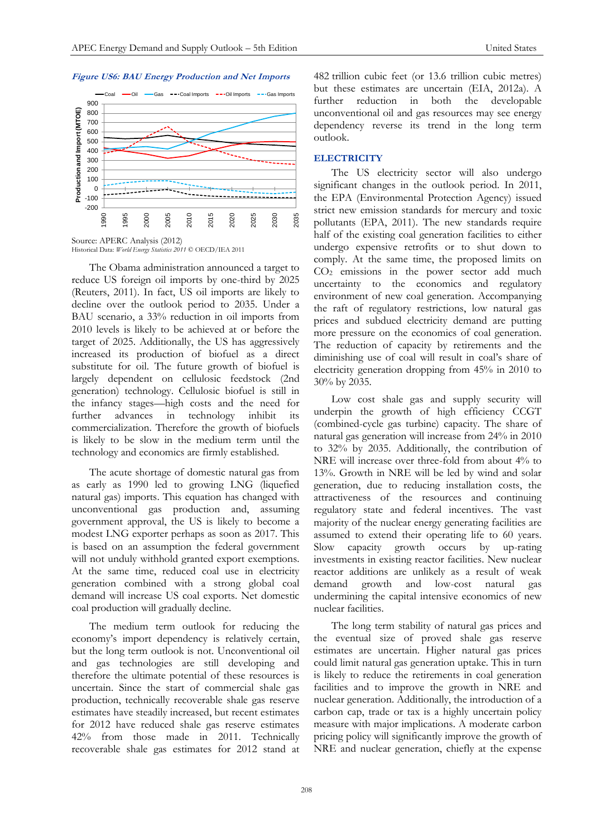#### **Figure US6: BAU Energy Production and Net Imports**



Historical Data: *World Energy Statistics 2011* © OECD/IEA 2011

The Obama administration announced a target to reduce US foreign oil imports by one-third by 2025 (Reuters, 2011). In fact, US oil imports are likely to decline over the outlook period to 2035. Under a BAU scenario, a 33% reduction in oil imports from 2010 levels is likely to be achieved at or before the target of 2025. Additionally, the US has aggressively increased its production of biofuel as a direct substitute for oil. The future growth of biofuel is largely dependent on cellulosic feedstock (2nd generation) technology. Cellulosic biofuel is still in the infancy stages—high costs and the need for further advances in technology inhibit its commercialization. Therefore the growth of biofuels is likely to be slow in the medium term until the technology and economics are firmly established.

The acute shortage of domestic natural gas from as early as 1990 led to growing LNG (liquefied natural gas) imports. This equation has changed with unconventional gas production and, assuming government approval, the US is likely to become a modest LNG exporter perhaps as soon as 2017. This is based on an assumption the federal government will not unduly withhold granted export exemptions. At the same time, reduced coal use in electricity generation combined with a strong global coal demand will increase US coal exports. Net domestic coal production will gradually decline.

The medium term outlook for reducing the economy's import dependency is relatively certain, but the long term outlook is not. Unconventional oil and gas technologies are still developing and therefore the ultimate potential of these resources is uncertain. Since the start of commercial shale gas production, technically recoverable shale gas reserve estimates have steadily increased, but recent estimates for 2012 have reduced shale gas reserve estimates 42% from those made in 2011. Technically recoverable shale gas estimates for 2012 stand at

482 trillion cubic feet (or 13.6 trillion cubic metres) but these estimates are uncertain (EIA, 2012a). A further reduction in both the developable unconventional oil and gas resources may see energy dependency reverse its trend in the long term outlook.

#### **ELECTRICITY**

The US electricity sector will also undergo significant changes in the outlook period. In 2011, the EPA (Environmental Protection Agency) issued strict new emission standards for mercury and toxic pollutants (EPA, 2011). The new standards require half of the existing coal generation facilities to either undergo expensive retrofits or to shut down to comply. At the same time, the proposed limits on CO<sup>2</sup> emissions in the power sector add much uncertainty to the economics and regulatory environment of new coal generation. Accompanying the raft of regulatory restrictions, low natural gas prices and subdued electricity demand are putting more pressure on the economics of coal generation. The reduction of capacity by retirements and the diminishing use of coal will result in coal's share of electricity generation dropping from 45% in 2010 to 30% by 2035.

Low cost shale gas and supply security will underpin the growth of high efficiency CCGT (combined-cycle gas turbine) capacity. The share of natural gas generation will increase from 24% in 2010 to 32% by 2035. Additionally, the contribution of NRE will increase over three-fold from about 4% to 13%. Growth in NRE will be led by wind and solar generation, due to reducing installation costs, the attractiveness of the resources and continuing regulatory state and federal incentives. The vast majority of the nuclear energy generating facilities are assumed to extend their operating life to 60 years. Slow capacity growth occurs by up-rating investments in existing reactor facilities. New nuclear reactor additions are unlikely as a result of weak<br>demand growth and low-cost natural gas demand growth and low-cost natural gas undermining the capital intensive economics of new nuclear facilities.

The long term stability of natural gas prices and the eventual size of proved shale gas reserve estimates are uncertain. Higher natural gas prices could limit natural gas generation uptake. This in turn is likely to reduce the retirements in coal generation facilities and to improve the growth in NRE and nuclear generation. Additionally, the introduction of a carbon cap, trade or tax is a highly uncertain policy measure with major implications. A moderate carbon pricing policy will significantly improve the growth of NRE and nuclear generation, chiefly at the expense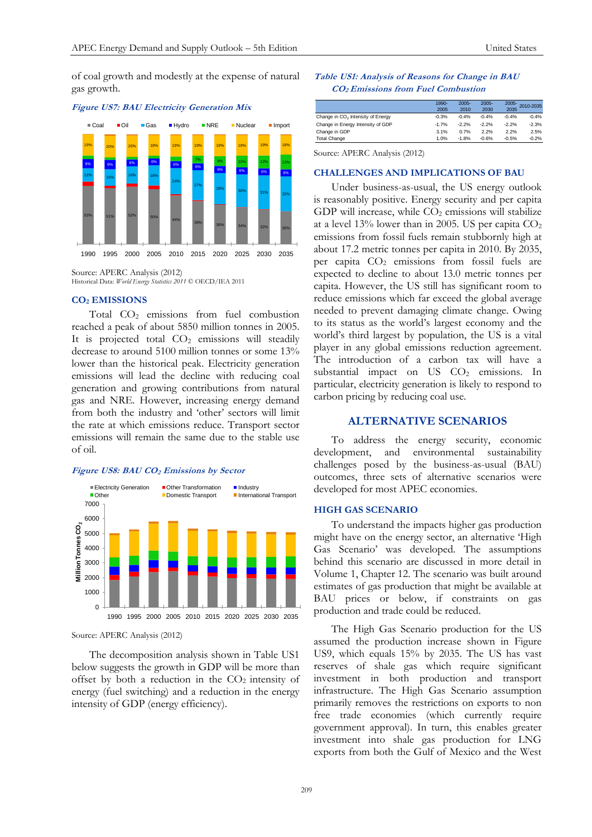of coal growth and modestly at the expense of natural gas growth.

#### **Figure US7: BAU Electricity Generation Mix**



Historical Data: *World Energy Statistics 2011* © OECD/IEA 2011

#### **CO<sup>2</sup> EMISSIONS**

Total CO<sup>2</sup> emissions from fuel combustion reached a peak of about 5850 million tonnes in 2005. It is projected total  $CO<sub>2</sub>$  emissions will steadily decrease to around 5100 million tonnes or some 13% lower than the historical peak. Electricity generation emissions will lead the decline with reducing coal generation and growing contributions from natural gas and NRE. However, increasing energy demand from both the industry and 'other' sectors will limit the rate at which emissions reduce. Transport sector emissions will remain the same due to the stable use of oil.

#### **Figure US8: BAU CO<sup>2</sup> Emissions by Sector**



Source: APERC Analysis (2012)

The decomposition analysis shown in Table US1 below suggests the growth in GDP will be more than offset by both a reduction in the  $CO<sub>2</sub>$  intensity of energy (fuel switching) and a reduction in the energy intensity of GDP (energy efficiency).

## **Table US1: Analysis of Reasons for Change in BAU CO2 Emissions from Fuel Combustion**

|                                               | 1990-<br>2005 | $2005 -$<br>2010 | $2005 -$<br>2030 | $2005 -$<br>2035 | 2010-2035 |
|-----------------------------------------------|---------------|------------------|------------------|------------------|-----------|
| Change in CO <sub>2</sub> Intensity of Energy | $-0.3%$       | $-0.4%$          | $-0.4%$          | $-0.4%$          | $-0.4%$   |
| Change in Energy Intensity of GDP             | $-1.7%$       | $-2.2%$          | $-2.2%$          | $-2.2%$          | $-2.3%$   |
| Change in GDP                                 | 3.1%          | 0.7%             | 2.2%             | 2.2%             | 2.5%      |
| <b>Total Change</b>                           | 1.0%          | $-1.8%$          | $-0.6%$          | $-0.5%$          | $-0.2%$   |

Source: APERC Analysis (2012)

#### **CHALLENGES AND IMPLICATIONS OF BAU**

Under business-as-usual, the US energy outlook is reasonably positive. Energy security and per capita GDP will increase, while  $CO<sub>2</sub>$  emissions will stabilize at a level  $13\%$  lower than in 2005. US per capita  $CO<sub>2</sub>$ emissions from fossil fuels remain stubbornly high at about 17.2 metric tonnes per capita in 2010. By 2035, per capita  $CO<sub>2</sub>$  emissions from fossil fuels are expected to decline to about 13.0 metric tonnes per capita. However, the US still has significant room to reduce emissions which far exceed the global average needed to prevent damaging climate change. Owing to its status as the world's largest economy and the world's third largest by population, the US is a vital player in any global emissions reduction agreement. The introduction of a carbon tax will have a substantial impact on  $US$   $CO<sub>2</sub>$  emissions. In particular, electricity generation is likely to respond to carbon pricing by reducing coal use.

## **ALTERNATIVE SCENARIOS**

To address the energy security, economic development, and environmental sustainability challenges posed by the business-as-usual (BAU) outcomes, three sets of alternative scenarios were developed for most APEC economies.

## **HIGH GAS SCENARIO**

To understand the impacts higher gas production might have on the energy sector, an alternative 'High Gas Scenario' was developed. The assumptions behind this scenario are discussed in more detail in Volume 1, Chapter 12. The scenario was built around estimates of gas production that might be available at BAU prices or below, if constraints on gas production and trade could be reduced.

The High Gas Scenario production for the US assumed the production increase shown in Figure US9, which equals 15% by 2035. The US has vast reserves of shale gas which require significant investment in both production and transport infrastructure. The High Gas Scenario assumption primarily removes the restrictions on exports to non free trade economies (which currently require government approval). In turn, this enables greater investment into shale gas production for LNG exports from both the Gulf of Mexico and the West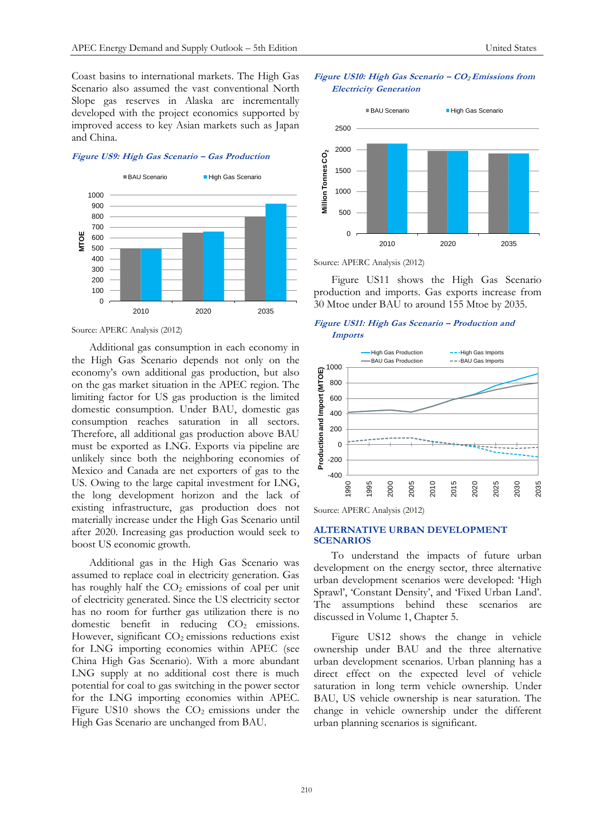Coast basins to international markets. The High Gas Scenario also assumed the vast conventional North Slope gas reserves in Alaska are incrementally developed with the project economics supported by improved access to key Asian markets such as Japan and China.

#### **Figure US9: High Gas Scenario – Gas Production**



Source: APERC Analysis (2012)

Additional gas consumption in each economy in the High Gas Scenario depends not only on the economy's own additional gas production, but also on the gas market situation in the APEC region. The limiting factor for US gas production is the limited domestic consumption. Under BAU, domestic gas consumption reaches saturation in all sectors. Therefore, all additional gas production above BAU must be exported as LNG. Exports via pipeline are unlikely since both the neighboring economies of Mexico and Canada are net exporters of gas to the US. Owing to the large capital investment for LNG, the long development horizon and the lack of existing infrastructure, gas production does not materially increase under the High Gas Scenario until after 2020. Increasing gas production would seek to boost US economic growth.

Additional gas in the High Gas Scenario was assumed to replace coal in electricity generation. Gas has roughly half the  $CO<sub>2</sub>$  emissions of coal per unit of electricity generated. Since the US electricity sector has no room for further gas utilization there is no domestic benefit in reducing CO<sub>2</sub> emissions. However, significant  $CO<sub>2</sub>$  emissions reductions exist for LNG importing economies within APEC (see China High Gas Scenario). With a more abundant LNG supply at no additional cost there is much potential for coal to gas switching in the power sector for the LNG importing economies within APEC. Figure US10 shows the  $CO<sub>2</sub>$  emissions under the High Gas Scenario are unchanged from BAU.

## **Figure US10: High Gas Scenario – CO<sup>2</sup> Emissions from Electricity Generation**



Source: APERC Analysis (2012)

Figure US11 shows the High Gas Scenario production and imports. Gas exports increase from 30 Mtoe under BAU to around 155 Mtoe by 2035.

## **Figure US11: High Gas Scenario – Production and Imports**



Source: APERC Analysis (2012)

## **ALTERNATIVE URBAN DEVELOPMENT SCENARIOS**

To understand the impacts of future urban development on the energy sector, three alternative urban development scenarios were developed: 'High Sprawl', 'Constant Density', and 'Fixed Urban Land'. The assumptions behind these scenarios are discussed in Volume 1, Chapter 5.

Figure US12 shows the change in vehicle ownership under BAU and the three alternative urban development scenarios. Urban planning has a direct effect on the expected level of vehicle saturation in long term vehicle ownership. Under BAU, US vehicle ownership is near saturation. The change in vehicle ownership under the different urban planning scenarios is significant.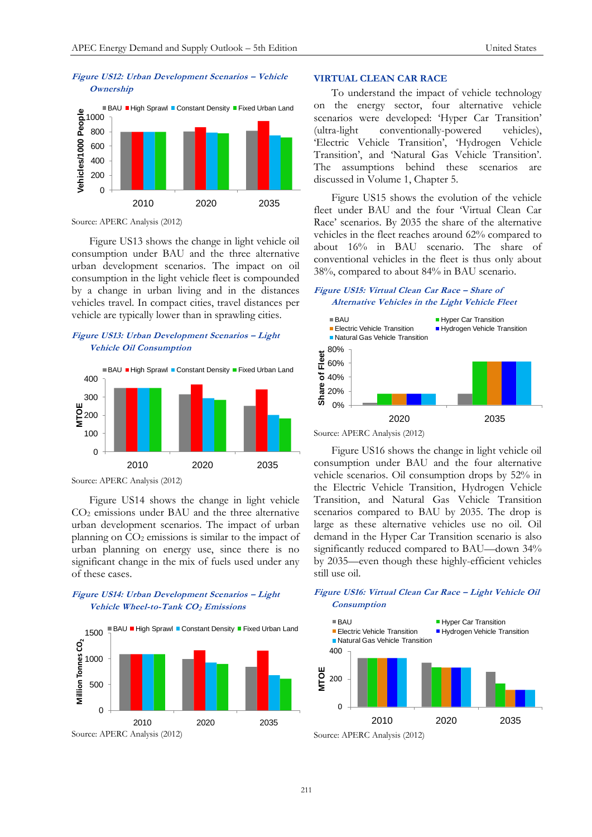## **Figure US12: Urban Development Scenarios – Vehicle Ownership**



Source: APERC Analysis (2012)

Figure US13 shows the change in light vehicle oil consumption under BAU and the three alternative urban development scenarios. The impact on oil consumption in the light vehicle fleet is compounded by a change in urban living and in the distances vehicles travel. In compact cities, travel distances per vehicle are typically lower than in sprawling cities.

# **Figure US13: Urban Development Scenarios – Light Vehicle Oil Consumption**



Source: APERC Analysis (2012)

Figure US14 shows the change in light vehicle CO<sup>2</sup> emissions under BAU and the three alternative urban development scenarios. The impact of urban planning on  $CO<sub>2</sub>$  emissions is similar to the impact of urban planning on energy use, since there is no significant change in the mix of fuels used under any of these cases.

# **Figure US14: Urban Development Scenarios – Light Vehicle Wheel-to-Tank CO2 Emissions**



## **VIRTUAL CLEAN CAR RACE**

To understand the impact of vehicle technology on the energy sector, four alternative vehicle scenarios were developed: 'Hyper Car Transition' (ultra-light conventionally-powered vehicles), 'Electric Vehicle Transition', 'Hydrogen Vehicle Transition', and 'Natural Gas Vehicle Transition'. The assumptions behind these scenarios are discussed in Volume 1, Chapter 5.

Figure US15 shows the evolution of the vehicle fleet under BAU and the four 'Virtual Clean Car Race' scenarios. By 2035 the share of the alternative vehicles in the fleet reaches around 62% compared to about 16% in BAU scenario. The share of conventional vehicles in the fleet is thus only about 38%, compared to about 84% in BAU scenario.

# **Figure US15: Virtual Clean Car Race – Share of Alternative Vehicles in the Light Vehicle Fleet**



Figure US16 shows the change in light vehicle oil consumption under BAU and the four alternative vehicle scenarios. Oil consumption drops by 52% in the Electric Vehicle Transition, Hydrogen Vehicle Transition, and Natural Gas Vehicle Transition scenarios compared to BAU by 2035. The drop is large as these alternative vehicles use no oil. Oil demand in the Hyper Car Transition scenario is also significantly reduced compared to BAU—down 34% by 2035—even though these highly-efficient vehicles still use oil.

# **Figure US16: Virtual Clean Car Race – Light Vehicle Oil Consumption**

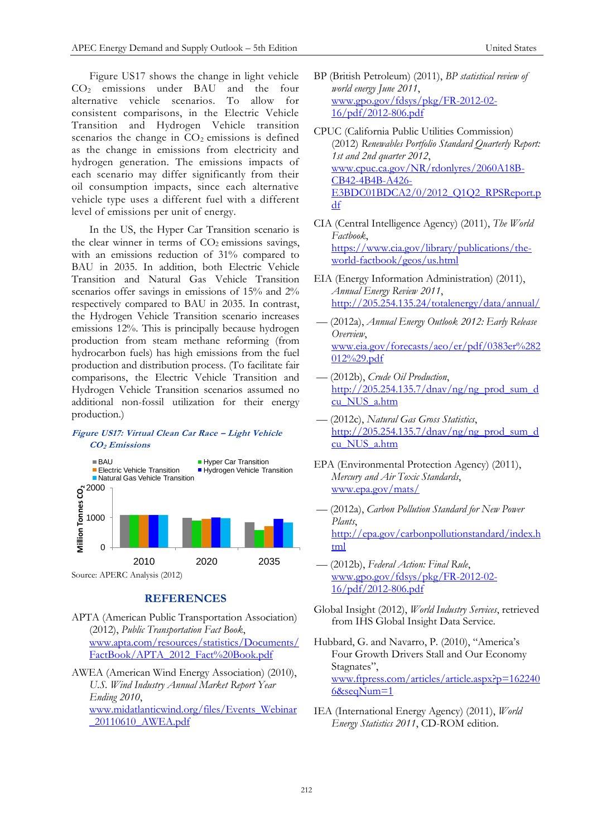Figure US17 shows the change in light vehicle CO<sup>2</sup> emissions under BAU and the four alternative vehicle scenarios. To allow for consistent comparisons, in the Electric Vehicle Transition and Hydrogen Vehicle transition scenarios the change in  $CO<sub>2</sub>$  emissions is defined as the change in emissions from electricity and hydrogen generation. The emissions impacts of each scenario may differ significantly from their oil consumption impacts, since each alternative vehicle type uses a different fuel with a different level of emissions per unit of energy.

In the US, the Hyper Car Transition scenario is the clear winner in terms of  $CO<sub>2</sub>$  emissions savings, with an emissions reduction of 31% compared to BAU in 2035. In addition, both Electric Vehicle Transition and Natural Gas Vehicle Transition scenarios offer savings in emissions of 15% and 2% respectively compared to BAU in 2035. In contrast, the Hydrogen Vehicle Transition scenario increases emissions 12%. This is principally because hydrogen production from steam methane reforming (from hydrocarbon fuels) has high emissions from the fuel production and distribution process. (To facilitate fair comparisons, the Electric Vehicle Transition and Hydrogen Vehicle Transition scenarios assumed no additional non-fossil utilization for their energy production.)

# **Figure US17: Virtual Clean Car Race – Light Vehicle CO2 Emissions**



# **REFERENCES**

- APTA (American Public Transportation Association) (2012), *Public Transportation Fact Book*, [www.apta.com/resources/statistics/Documents/](http://www.apta.com/resources/statistics/Documents/FactBook/APTA_2012_Fact%20Book.pdf) [FactBook/APTA\\_2012\\_Fact%20Book.pdf](http://www.apta.com/resources/statistics/Documents/FactBook/APTA_2012_Fact%20Book.pdf)
- AWEA (American Wind Energy Association) (2010), *U.S. Wind Industry Annual Market Report Year Ending 2010*, [www.midatlanticwind.org/files/Events\\_Webinar](http://www.midatlanticwind.org/files/Events_Webinar_20110610_AWEA.pdf) [\\_20110610\\_AWEA.pdf](http://www.midatlanticwind.org/files/Events_Webinar_20110610_AWEA.pdf)
- BP (British Petroleum) (2011), *BP statistical review of world energy June 2011*, [www.gpo.gov/fdsys/pkg/FR-2012-02-](http://www.gpo.gov/fdsys/pkg/FR-2012-02-16/pdf/2012-806.pdf) [16/pdf/2012-806.pdf](http://www.gpo.gov/fdsys/pkg/FR-2012-02-16/pdf/2012-806.pdf)
- CPUC (California Public Utilities Commission) (2012) *Renewables Portfolio Standard Quarterly Report: 1st and 2nd quarter 2012*, [www.cpuc.ca.gov/NR/rdonlyres/2060A18B-](http://www.cpuc.ca.gov/NR/rdonlyres/2060A18B-CB42-4B4B-A426-E3BDC01BDCA2/0/2012_Q1Q2_RPSReport.pdf)[CB42-4B4B-A426-](http://www.cpuc.ca.gov/NR/rdonlyres/2060A18B-CB42-4B4B-A426-E3BDC01BDCA2/0/2012_Q1Q2_RPSReport.pdf) E3BDC01BDCA2/0/2012\_O1O2\_RPSReport.p [df](http://www.cpuc.ca.gov/NR/rdonlyres/2060A18B-CB42-4B4B-A426-E3BDC01BDCA2/0/2012_Q1Q2_RPSReport.pdf)
- CIA (Central Intelligence Agency) (2011), *The World Factbook*, [https://www.cia.gov/library/publications/the](https://www.cia.gov/library/publications/the-world-factbook/geos/us.html)[world-factbook/geos/us.html](https://www.cia.gov/library/publications/the-world-factbook/geos/us.html)
- EIA (Energy Information Administration) (2011), *Annual Energy Review 2011*, <http://205.254.135.24/totalenergy/data/annual/>
- –– (2012a), *Annual Energy Outlook 2012: Early Release Overview*, [www.eia.gov/forecasts/aeo/er/pdf/0383er%282](http://www.eia.gov/forecasts/aeo/er/pdf/0383er%282012%29.pdf) [012%29.pdf](http://www.eia.gov/forecasts/aeo/er/pdf/0383er%282012%29.pdf)
- –– (2012b), *Crude Oil Production*, [http://205.254.135.7/dnav/ng/ng\\_prod\\_sum\\_d](http://205.254.135.7/dnav/ng/ng_prod_sum_dcu_NUS_a.htm) [cu\\_NUS\\_a.htm](http://205.254.135.7/dnav/ng/ng_prod_sum_dcu_NUS_a.htm)
- –– (2012c), *Natural Gas Gross Statistics*, [http://205.254.135.7/dnav/ng/ng\\_prod\\_sum\\_d](http://205.254.135.7/dnav/ng/ng_prod_sum_dcu_NUS_a.htm) [cu\\_NUS\\_a.htm](http://205.254.135.7/dnav/ng/ng_prod_sum_dcu_NUS_a.htm)
- EPA (Environmental Protection Agency) (2011), *Mercury and Air Toxic Standards*, [www.epa.gov/mats/](http://www.epa.gov/mats/)
- –– (2012a), *Carbon Pollution Standard for New Power Plants*, [http://epa.gov/carbonpollutionstandard/index.h](http://epa.gov/carbonpollutionstandard/index.html) [tml](http://epa.gov/carbonpollutionstandard/index.html)
- –– (2012b), *Federal Action: Final Rule*, [www.gpo.gov/fdsys/pkg/FR-2012-02-](http://www.gpo.gov/fdsys/pkg/FR-2012-02-16/pdf/2012-806.pdf) [16/pdf/2012-806.pdf](http://www.gpo.gov/fdsys/pkg/FR-2012-02-16/pdf/2012-806.pdf)
- Global Insight (2012), *World Industry Services*, retrieved from IHS Global Insight Data Service.
- Hubbard, G. and Navarro, P. (2010), "America's Four Growth Drivers Stall and Our Economy Stagnates", [www.ftpress.com/articles/article.aspx?p=162240](http://www.ftpress.com/articles/article.aspx?p=1622406&seqNum=1) [6&seqNum=1](http://www.ftpress.com/articles/article.aspx?p=1622406&seqNum=1)
- IEA (International Energy Agency) (2011), *World Energy Statistics 2011*, CD-ROM edition.